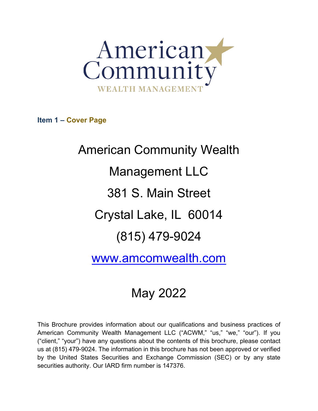

<span id="page-0-0"></span>**Item 1 – Cover Page**

American Community Wealth Management LLC 381 S. Main Street Crystal Lake, IL 60014 (815) 479-9024

[www.amcomwealth.com](http://www.amcomwealth.com/)

# May 2022

This Brochure provides information about our qualifications and business practices of American Community Wealth Management LLC ("ACWM," "us," "we," "our"). If you ("client," "your") have any questions about the contents of this brochure, please contact us at (815) 479-9024. The information in this brochure has not been approved or verified by the United States Securities and Exchange Commission (SEC) or by any state securities authority. Our IARD firm number is 147376.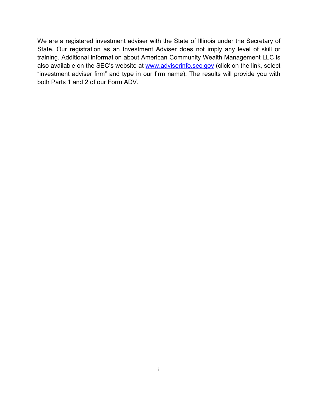We are a registered investment adviser with the State of Illinois under the Secretary of State. Our registration as an Investment Adviser does not imply any level of skill or training. Additional information about American Community Wealth Management LLC is also available on the SEC's website at [www.adviserinfo.sec.gov](http://www.adviserinfo.sec.gov/) (click on the link, select "investment adviser firm" and type in our firm name). The results will provide you with both Parts 1 and 2 of our Form ADV.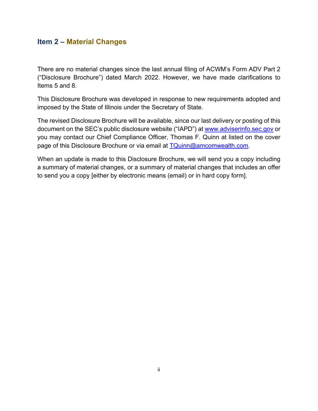## <span id="page-2-0"></span>**Item 2 – Material Changes**

There are no material changes since the last annual filing of ACWM's Form ADV Part 2 ("Disclosure Brochure") dated March 2022. However, we have made clarifications to Items 5 and 8.

This Disclosure Brochure was developed in response to new requirements adopted and imposed by the State of Illinois under the Secretary of State.

The revised Disclosure Brochure will be available, since our last delivery or posting of this document on the SEC's public disclosure website ("IAPD") at [www.adviserinfo.sec.gov](http://www.adviserinfo.sec.gov/) or you may contact our Chief Compliance Officer, Thomas F. Quinn at listed on the cover page of this Disclosure Brochure or via email at [TQuinn@amcomwealth.com.](mailto:tferguson@jtstratford.com)

When an update is made to this Disclosure Brochure, we will send you a copy including a summary of material changes, or a summary of material changes that includes an offer to send you a copy [either by electronic means (email) or in hard copy form].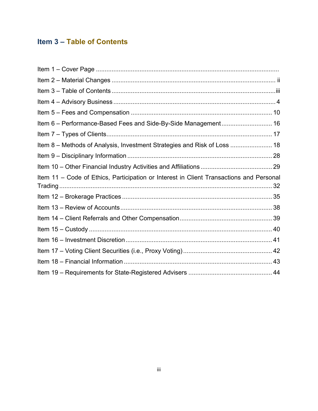# <span id="page-3-0"></span>**Item 3 – Table of Contents**

| Item 6 - Performance-Based Fees and Side-By-Side Management 16                          |  |
|-----------------------------------------------------------------------------------------|--|
|                                                                                         |  |
| Item 8 - Methods of Analysis, Investment Strategies and Risk of Loss  18                |  |
|                                                                                         |  |
|                                                                                         |  |
| Item 11 - Code of Ethics, Participation or Interest in Client Transactions and Personal |  |
|                                                                                         |  |
|                                                                                         |  |
|                                                                                         |  |
|                                                                                         |  |
|                                                                                         |  |
|                                                                                         |  |
|                                                                                         |  |
|                                                                                         |  |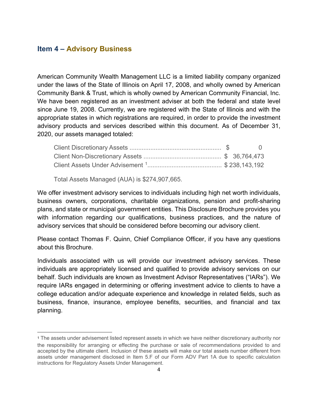## <span id="page-4-0"></span>**Item 4 – Advisory Business**

American Community Wealth Management LLC is a limited liability company organized under the laws of the State of Illinois on April 17, 2008, and wholly owned by American Community Bank & Trust, which is wholly owned by American Community Financial, Inc. We have been registered as an investment adviser at both the federal and state level since June 19, 2008. Currently, we are registered with the State of Illinois and with the appropriate states in which registrations are required, in order to provide the investment advisory products and services described within this document. As of December 31, 2020, our assets managed totaled:

Total Assets Managed (AUA) is \$274,907,665.

We offer investment advisory services to individuals including high net worth individuals, business owners, corporations, charitable organizations, pension and profit-sharing plans, and state or municipal government entities. This Disclosure Brochure provides you with information regarding our qualifications, business practices, and the nature of advisory services that should be considered before becoming our advisory client.

Please contact Thomas F. Quinn, Chief Compliance Officer, if you have any questions about this Brochure.

Individuals associated with us will provide our investment advisory services. These individuals are appropriately licensed and qualified to provide advisory services on our behalf. Such individuals are known as Investment Advisor Representatives ("IARs"). We require IARs engaged in determining or offering investment advice to clients to have a college education and/or adequate experience and knowledge in related fields, such as business, finance, insurance, employee benefits, securities, and financial and tax planning.

<span id="page-4-1"></span><sup>1</sup> The assets under advisement listed represent assets in which we have neither discretionary authority nor the responsibility for arranging or effecting the purchase or sale of recommendations provided to and accepted by the ultimate client. Inclusion of these assets will make our total assets number different from assets under management disclosed in Item 5.F of our Form ADV Part 1A due to specific calculation instructions for Regulatory Assets Under Management.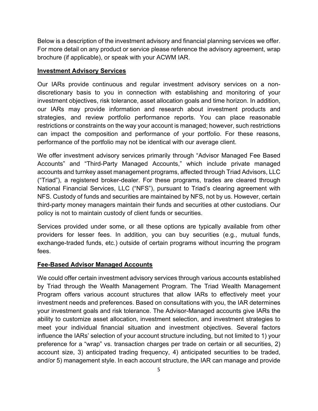Below is a description of the investment advisory and financial planning services we offer. For more detail on any product or service please reference the advisory agreement, wrap brochure (if applicable), or speak with your ACWM IAR.

#### **Investment Advisory Services**

Our IARs provide continuous and regular investment advisory services on a nondiscretionary basis to you in connection with establishing and monitoring of your investment objectives, risk tolerance, asset allocation goals and time horizon. In addition, our IARs may provide information and research about investment products and strategies, and review portfolio performance reports. You can place reasonable restrictions or constraints on the way your account is managed; however, such restrictions can impact the composition and performance of your portfolio. For these reasons, performance of the portfolio may not be identical with our average client.

We offer investment advisory services primarily through "Advisor Managed Fee Based Accounts" and "Third-Party Managed Accounts," which include private managed accounts and turnkey asset management programs, affected through Triad Advisors, LLC ("Triad"), a registered broker-dealer. For these programs, trades are cleared through National Financial Services, LLC ("NFS"), pursuant to Triad's clearing agreement with NFS. Custody of funds and securities are maintained by NFS, not by us. However, certain third-party money managers maintain their funds and securities at other custodians. Our policy is not to maintain custody of client funds or securities.

Services provided under some, or all these options are typically available from other providers for lesser fees. In addition, you can buy securities (e.g., mutual funds, exchange-traded funds, etc.) outside of certain programs without incurring the program fees.

#### **Fee-Based Advisor Managed Accounts**

We could offer certain investment advisory services through various accounts established by Triad through the Wealth Management Program. The Triad Wealth Management Program offers various account structures that allow IARs to effectively meet your investment needs and preferences. Based on consultations with you, the IAR determines your investment goals and risk tolerance. The Advisor-Managed accounts give IARs the ability to customize asset allocation, investment selection, and investment strategies to meet your individual financial situation and investment objectives. Several factors influence the IARs' selection of your account structure including, but not limited to 1) your preference for a "wrap" vs. transaction charges per trade on certain or all securities, 2) account size, 3) anticipated trading frequency, 4) anticipated securities to be traded, and/or 5) management style. In each account structure, the IAR can manage and provide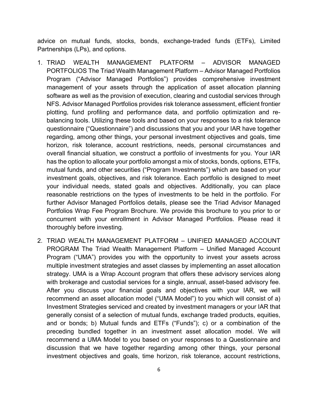advice on mutual funds, stocks, bonds, exchange-traded funds (ETFs), Limited Partnerships (LPs), and options.

- 1. TRIAD WEALTH MANAGEMENT PLATFORM ADVISOR MANAGED PORTFOLIOS The Triad Wealth Management Platform – Advisor Managed Portfolios Program ("Advisor Managed Portfolios") provides comprehensive investment management of your assets through the application of asset allocation planning software as well as the provision of execution, clearing and custodial services through NFS. Advisor Managed Portfolios provides risk tolerance assessment, efficient frontier plotting, fund profiling and performance data, and portfolio optimization and rebalancing tools. Utilizing these tools and based on your responses to a risk tolerance questionnaire ("Questionnaire") and discussions that you and your IAR have together regarding, among other things, your personal investment objectives and goals, time horizon, risk tolerance, account restrictions, needs, personal circumstances and overall financial situation, we construct a portfolio of investments for you. Your IAR has the option to allocate your portfolio amongst a mix of stocks, bonds, options, ETFs, mutual funds, and other securities ("Program Investments") which are based on your investment goals, objectives, and risk tolerance. Each portfolio is designed to meet your individual needs, stated goals and objectives. Additionally, you can place reasonable restrictions on the types of investments to be held in the portfolio. For further Advisor Managed Portfolios details, please see the Triad Advisor Managed Portfolios Wrap Fee Program Brochure. We provide this brochure to you prior to or concurrent with your enrollment in Advisor Managed Portfolios. Please read it thoroughly before investing.
- 2. TRIAD WEALTH MANAGEMENT PLATFORM UNIFIED MANAGED ACCOUNT PROGRAM The Triad Wealth Management Platform – Unified Managed Account Program ("UMA") provides you with the opportunity to invest your assets across multiple investment strategies and asset classes by implementing an asset allocation strategy. UMA is a Wrap Account program that offers these advisory services along with brokerage and custodial services for a single, annual, asset-based advisory fee. After you discuss your financial goals and objectives with your IAR, we will recommend an asset allocation model ("UMA Model") to you which will consist of a) Investment Strategies serviced and created by investment managers or your IAR that generally consist of a selection of mutual funds, exchange traded products, equities, and or bonds; b) Mutual funds and ETFs ("Funds"); c) or a combination of the preceding bundled together in an investment asset allocation model. We will recommend a UMA Model to you based on your responses to a Questionnaire and discussion that we have together regarding among other things, your personal investment objectives and goals, time horizon, risk tolerance, account restrictions,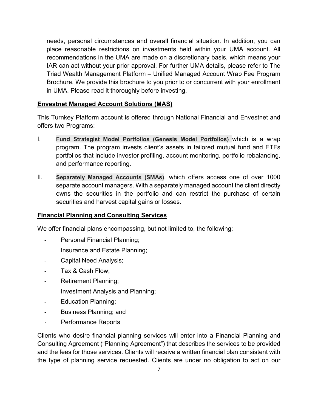needs, personal circumstances and overall financial situation. In addition, you can place reasonable restrictions on investments held within your UMA account. All recommendations in the UMA are made on a discretionary basis, which means your IAR can act without your prior approval. For further UMA details, please refer to The Triad Wealth Management Platform – Unified Managed Account Wrap Fee Program Brochure. We provide this brochure to you prior to or concurrent with your enrollment in UMA. Please read it thoroughly before investing.

#### **Envestnet Managed Account Solutions (MAS)**

This Turnkey Platform account is offered through National Financial and Envestnet and offers two Programs:

- I. **Fund Strategist Model Portfolios (Genesis Model Portfolios)** which is a wrap program. The program invests client's assets in tailored mutual fund and ETFs portfolios that include investor profiling, account monitoring, portfolio rebalancing, and performance reporting.
- II. **Separately Managed Accounts (SMAs)**, which offers access one of over 1000 separate account managers. With a separately managed account the client directly owns the securities in the portfolio and can restrict the purchase of certain securities and harvest capital gains or losses.

#### **Financial Planning and Consulting Services**

We offer financial plans encompassing, but not limited to, the following:

- Personal Financial Planning;
- Insurance and Estate Planning;
- Capital Need Analysis;
- Tax & Cash Flow;
- Retirement Planning;
- Investment Analysis and Planning;
- Education Planning;
- Business Planning; and
- Performance Reports

Clients who desire financial planning services will enter into a Financial Planning and Consulting Agreement ("Planning Agreement") that describes the services to be provided and the fees for those services. Clients will receive a written financial plan consistent with the type of planning service requested. Clients are under no obligation to act on our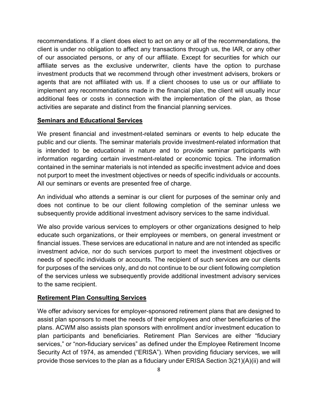recommendations. If a client does elect to act on any or all of the recommendations, the client is under no obligation to affect any transactions through us, the IAR, or any other of our associated persons, or any of our affiliate. Except for securities for which our affiliate serves as the exclusive underwriter, clients have the option to purchase investment products that we recommend through other investment advisers, brokers or agents that are not affiliated with us. If a client chooses to use us or our affiliate to implement any recommendations made in the financial plan, the client will usually incur additional fees or costs in connection with the implementation of the plan, as those activities are separate and distinct from the financial planning services.

#### **Seminars and Educational Services**

We present financial and investment-related seminars or events to help educate the public and our clients. The seminar materials provide investment-related information that is intended to be educational in nature and to provide seminar participants with information regarding certain investment-related or economic topics. The information contained in the seminar materials is not intended as specific investment advice and does not purport to meet the investment objectives or needs of specific individuals or accounts. All our seminars or events are presented free of charge.

An individual who attends a seminar is our client for purposes of the seminar only and does not continue to be our client following completion of the seminar unless we subsequently provide additional investment advisory services to the same individual.

We also provide various services to employers or other organizations designed to help educate such organizations, or their employees or members, on general investment or financial issues. These services are educational in nature and are not intended as specific investment advice, nor do such services purport to meet the investment objectives or needs of specific individuals or accounts. The recipient of such services are our clients for purposes of the services only, and do not continue to be our client following completion of the services unless we subsequently provide additional investment advisory services to the same recipient.

#### **Retirement Plan Consulting Services**

We offer advisory services for employer-sponsored retirement plans that are designed to assist plan sponsors to meet the needs of their employees and other beneficiaries of the plans. ACWM also assists plan sponsors with enrollment and/or investment education to plan participants and beneficiaries. Retirement Plan Services are either "fiduciary services," or "non-fiduciary services" as defined under the Employee Retirement Income Security Act of 1974, as amended ("ERISA"). When providing fiduciary services, we will provide those services to the plan as a fiduciary under ERISA Section 3(21)(A)(ii) and will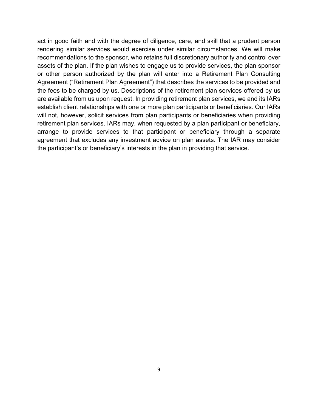act in good faith and with the degree of diligence, care, and skill that a prudent person rendering similar services would exercise under similar circumstances. We will make recommendations to the sponsor, who retains full discretionary authority and control over assets of the plan. If the plan wishes to engage us to provide services, the plan sponsor or other person authorized by the plan will enter into a Retirement Plan Consulting Agreement ("Retirement Plan Agreement") that describes the services to be provided and the fees to be charged by us. Descriptions of the retirement plan services offered by us are available from us upon request. In providing retirement plan services, we and its IARs establish client relationships with one or more plan participants or beneficiaries. Our IARs will not, however, solicit services from plan participants or beneficiaries when providing retirement plan services. IARs may, when requested by a plan participant or beneficiary, arrange to provide services to that participant or beneficiary through a separate agreement that excludes any investment advice on plan assets. The IAR may consider the participant's or beneficiary's interests in the plan in providing that service.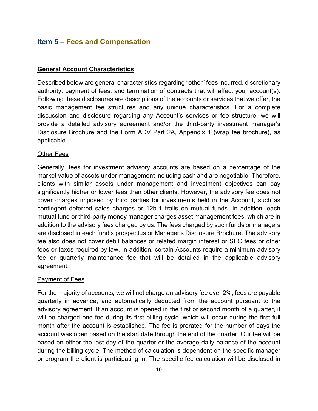## <span id="page-10-0"></span>**Item 5 – Fees and Compensation**

#### **General Account Characteristics**

Described below are general characteristics regarding "other" fees incurred, discretionary authority, payment of fees, and termination of contracts that will affect your account(s). Following these disclosures are descriptions of the accounts or services that we offer, the basic management fee structures and any unique characteristics. For a complete discussion and disclosure regarding any Account's services or fee structure, we will provide a detailed advisory agreement and/or the third-party investment manager's Disclosure Brochure and the Form ADV Part 2A, Appendix 1 (wrap fee brochure), as applicable.

#### **Other Fees**

Generally, fees for investment advisory accounts are based on a percentage of the market value of assets under management including cash and are negotiable. Therefore, clients with similar assets under management and investment objectives can pay significantly higher or lower fees than other clients. However, the advisory fee does not cover charges imposed by third parties for investments held in the Account, such as contingent deferred sales charges or 12b-1 trails on mutual funds. In addition, each mutual fund or third-party money manager charges asset management fees, which are in addition to the advisory fees charged by us. The fees charged by such funds or managers are disclosed in each fund's prospectus or Manager's Disclosure Brochure. The advisory fee also does not cover debit balances or related margin interest or SEC fees or other fees or taxes required by law. In addition, certain Accounts require a minimum advisory fee or quarterly maintenance fee that will be detailed in the applicable advisory agreement.

#### **Payment of Fees**

For the majority of accounts, we will not charge an advisory fee over 2%, fees are payable quarterly in advance, and automatically deducted from the account pursuant to the advisory agreement. If an account is opened in the first or second month of a quarter, it will be charged one fee during its first billing cycle, which will occur during the first full month after the account is established. The fee is prorated for the number of days the account was open based on the start date through the end of the quarter. Our fee will be based on either the last day of the quarter or the average daily balance of the account during the billing cycle. The method of calculation is dependent on the specific manager or program the client is participating in. The specific fee calculation will be disclosed in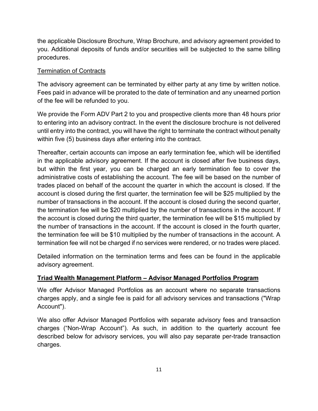the applicable Disclosure Brochure, Wrap Brochure, and advisory agreement provided to you. Additional deposits of funds and/or securities will be subjected to the same billing procedures.

## Termination of Contracts

The advisory agreement can be terminated by either party at any time by written notice. Fees paid in advance will be prorated to the date of termination and any unearned portion of the fee will be refunded to you.

We provide the Form ADV Part 2 to you and prospective clients more than 48 hours prior to entering into an advisory contract. In the event the disclosure brochure is not delivered until entry into the contract, you will have the right to terminate the contract without penalty within five (5) business days after entering into the contract.

Thereafter, certain accounts can impose an early termination fee, which will be identified in the applicable advisory agreement. If the account is closed after five business days, but within the first year, you can be charged an early termination fee to cover the administrative costs of establishing the account. The fee will be based on the number of trades placed on behalf of the account the quarter in which the account is closed. If the account is closed during the first quarter, the termination fee will be \$25 multiplied by the number of transactions in the account. If the account is closed during the second quarter, the termination fee will be \$20 multiplied by the number of transactions in the account. If the account is closed during the third quarter, the termination fee will be \$15 multiplied by the number of transactions in the account. If the account is closed in the fourth quarter, the termination fee will be \$10 multiplied by the number of transactions in the account. A termination fee will not be charged if no services were rendered, or no trades were placed.

Detailed information on the termination terms and fees can be found in the applicable advisory agreement.

## **Triad Wealth Management Platform – Advisor Managed Portfolios Program**

We offer Advisor Managed Portfolios as an account where no separate transactions charges apply, and a single fee is paid for all advisory services and transactions ("Wrap Account").

We also offer Advisor Managed Portfolios with separate advisory fees and transaction charges ("Non-Wrap Account"). As such, in addition to the quarterly account fee described below for advisory services, you will also pay separate per-trade transaction charges.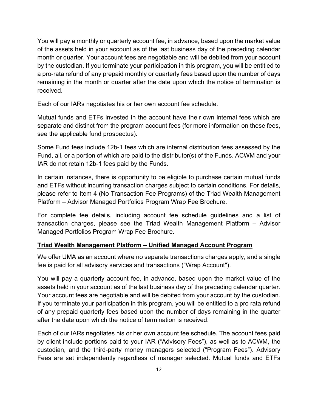You will pay a monthly or quarterly account fee, in advance, based upon the market value of the assets held in your account as of the last business day of the preceding calendar month or quarter. Your account fees are negotiable and will be debited from your account by the custodian. If you terminate your participation in this program, you will be entitled to a pro-rata refund of any prepaid monthly or quarterly fees based upon the number of days remaining in the month or quarter after the date upon which the notice of termination is received.

Each of our IARs negotiates his or her own account fee schedule.

Mutual funds and ETFs invested in the account have their own internal fees which are separate and distinct from the program account fees (for more information on these fees, see the applicable fund prospectus).

Some Fund fees include 12b-1 fees which are internal distribution fees assessed by the Fund, all, or a portion of which are paid to the distributor(s) of the Funds. ACWM and your IAR do not retain 12b-1 fees paid by the Funds.

In certain instances, there is opportunity to be eligible to purchase certain mutual funds and ETFs without incurring transaction charges subject to certain conditions. For details, please refer to Item 4 (No Transaction Fee Programs) of the Triad Wealth Management Platform – Advisor Managed Portfolios Program Wrap Fee Brochure.

For complete fee details, including account fee schedule guidelines and a list of transaction charges, please see the Triad Wealth Management Platform – Advisor Managed Portfolios Program Wrap Fee Brochure.

#### **Triad Wealth Management Platform – Unified Managed Account Program**

We offer UMA as an account where no separate transactions charges apply, and a single fee is paid for all advisory services and transactions ("Wrap Account").

You will pay a quarterly account fee, in advance, based upon the market value of the assets held in your account as of the last business day of the preceding calendar quarter. Your account fees are negotiable and will be debited from your account by the custodian. If you terminate your participation in this program, you will be entitled to a pro rata refund of any prepaid quarterly fees based upon the number of days remaining in the quarter after the date upon which the notice of termination is received.

Each of our IARs negotiates his or her own account fee schedule. The account fees paid by client include portions paid to your IAR ("Advisory Fees"), as well as to ACWM, the custodian, and the third-party money managers selected ("Program Fees"). Advisory Fees are set independently regardless of manager selected. Mutual funds and ETFs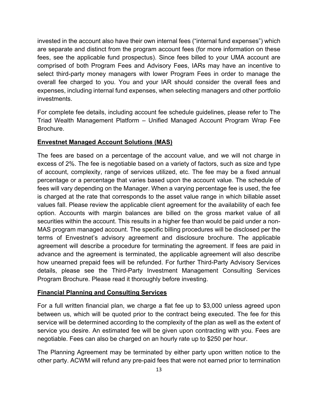invested in the account also have their own internal fees ("internal fund expenses") which are separate and distinct from the program account fees (for more information on these fees, see the applicable fund prospectus). Since fees billed to your UMA account are comprised of both Program Fees and Advisory Fees, IARs may have an incentive to select third-party money managers with lower Program Fees in order to manage the overall fee charged to you. You and your IAR should consider the overall fees and expenses, including internal fund expenses, when selecting managers and other portfolio investments.

For complete fee details, including account fee schedule guidelines, please refer to The Triad Wealth Management Platform – Unified Managed Account Program Wrap Fee Brochure.

#### **Envestnet Managed Account Solutions (MAS)**

The fees are based on a percentage of the account value, and we will not charge in excess of 2%. The fee is negotiable based on a variety of factors, such as size and type of account, complexity, range of services utilized, etc. The fee may be a fixed annual percentage or a percentage that varies based upon the account value. The schedule of fees will vary depending on the Manager. When a varying percentage fee is used, the fee is charged at the rate that corresponds to the asset value range in which billable asset values fall. Please review the applicable client agreement for the availability of each fee option. Accounts with margin balances are billed on the gross market value of all securities within the account. This results in a higher fee than would be paid under a non-MAS program managed account. The specific billing procedures will be disclosed per the terms of Envestnet's advisory agreement and disclosure brochure. The applicable agreement will describe a procedure for terminating the agreement. If fees are paid in advance and the agreement is terminated, the applicable agreement will also describe how unearned prepaid fees will be refunded. For further Third-Party Advisory Services details, please see the Third-Party Investment Management Consulting Services Program Brochure. Please read it thoroughly before investing.

#### **Financial Planning and Consulting Services**

For a full written financial plan, we charge a flat fee up to \$3,000 unless agreed upon between us, which will be quoted prior to the contract being executed. The fee for this service will be determined according to the complexity of the plan as well as the extent of service you desire. An estimated fee will be given upon contracting with you. Fees are negotiable. Fees can also be charged on an hourly rate up to \$250 per hour.

The Planning Agreement may be terminated by either party upon written notice to the other party. ACWM will refund any pre-paid fees that were not earned prior to termination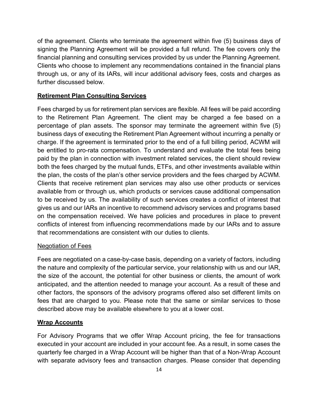of the agreement. Clients who terminate the agreement within five (5) business days of signing the Planning Agreement will be provided a full refund. The fee covers only the financial planning and consulting services provided by us under the Planning Agreement. Clients who choose to implement any recommendations contained in the financial plans through us, or any of its IARs, will incur additional advisory fees, costs and charges as further discussed below.

#### **Retirement Plan Consulting Services**

Fees charged by us for retirement plan services are flexible. All fees will be paid according to the Retirement Plan Agreement. The client may be charged a fee based on a percentage of plan assets. The sponsor may terminate the agreement within five (5) business days of executing the Retirement Plan Agreement without incurring a penalty or charge. If the agreement is terminated prior to the end of a full billing period, ACWM will be entitled to pro-rata compensation. To understand and evaluate the total fees being paid by the plan in connection with investment related services, the client should review both the fees charged by the mutual funds, ETFs, and other investments available within the plan, the costs of the plan's other service providers and the fees charged by ACWM. Clients that receive retirement plan services may also use other products or services available from or through us, which products or services cause additional compensation to be received by us. The availability of such services creates a conflict of interest that gives us and our IARs an incentive to recommend advisory services and programs based on the compensation received. We have policies and procedures in place to prevent conflicts of interest from influencing recommendations made by our IARs and to assure that recommendations are consistent with our duties to clients.

#### Negotiation of Fees

Fees are negotiated on a case-by-case basis, depending on a variety of factors, including the nature and complexity of the particular service, your relationship with us and our IAR, the size of the account, the potential for other business or clients, the amount of work anticipated, and the attention needed to manage your account. As a result of these and other factors, the sponsors of the advisory programs offered also set different limits on fees that are charged to you. Please note that the same or similar services to those described above may be available elsewhere to you at a lower cost.

#### **Wrap Accounts**

For Advisory Programs that we offer Wrap Account pricing, the fee for transactions executed in your account are included in your account fee. As a result, in some cases the quarterly fee charged in a Wrap Account will be higher than that of a Non-Wrap Account with separate advisory fees and transaction charges. Please consider that depending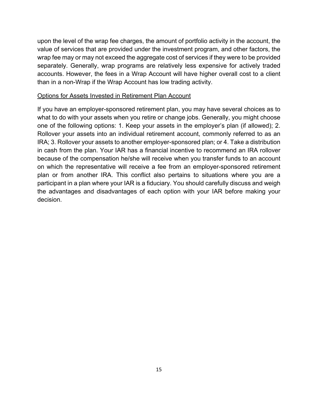upon the level of the wrap fee charges, the amount of portfolio activity in the account, the value of services that are provided under the investment program, and other factors, the wrap fee may or may not exceed the aggregate cost of services if they were to be provided separately. Generally, wrap programs are relatively less expensive for actively traded accounts. However, the fees in a Wrap Account will have higher overall cost to a client than in a non-Wrap if the Wrap Account has low trading activity.

#### Options for Assets Invested in Retirement Plan Account

If you have an employer-sponsored retirement plan, you may have several choices as to what to do with your assets when you retire or change jobs. Generally, you might choose one of the following options: 1. Keep your assets in the employer's plan (if allowed); 2. Rollover your assets into an individual retirement account, commonly referred to as an IRA; 3. Rollover your assets to another employer-sponsored plan; or 4. Take a distribution in cash from the plan. Your IAR has a financial incentive to recommend an IRA rollover because of the compensation he/she will receive when you transfer funds to an account on which the representative will receive a fee from an employer-sponsored retirement plan or from another IRA. This conflict also pertains to situations where you are a participant in a plan where your IAR is a fiduciary. You should carefully discuss and weigh the advantages and disadvantages of each option with your IAR before making your decision.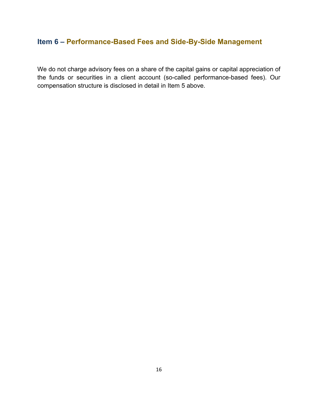## <span id="page-16-0"></span>**Item 6 – Performance-Based Fees and Side-By-Side Management**

We do not charge advisory fees on a share of the capital gains or capital appreciation of the funds or securities in a client account (so-called performance-based fees). Our compensation structure is disclosed in detail in Item 5 above.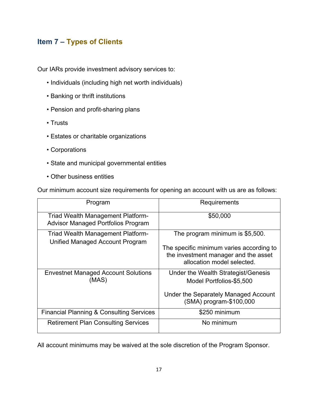# <span id="page-17-0"></span>**Item 7 – Types of Clients**

Our IARs provide investment advisory services to:

- Individuals (including high net worth individuals)
- Banking or thrift institutions
- Pension and profit-sharing plans
- Trusts
- Estates or charitable organizations
- Corporations
- State and municipal governmental entities
- Other business entities

Our minimum account size requirements for opening an account with us are as follows:

| Program                                                                               | Requirements                                                                                                   |
|---------------------------------------------------------------------------------------|----------------------------------------------------------------------------------------------------------------|
| <b>Triad Wealth Management Platform-</b><br><b>Advisor Managed Portfolios Program</b> | \$50,000                                                                                                       |
| <b>Triad Wealth Management Platform-</b><br>Unified Managed Account Program           | The program minimum is \$5,500.                                                                                |
|                                                                                       | The specific minimum varies according to<br>the investment manager and the asset<br>allocation model selected. |
| <b>Envestnet Managed Account Solutions</b><br>(MAS)                                   | Under the Wealth Strategist/Genesis<br>Model Portfolios-\$5,500                                                |
|                                                                                       | Under the Separately Managed Account<br>(SMA) program-\$100,000                                                |
| <b>Financial Planning &amp; Consulting Services</b>                                   | \$250 minimum                                                                                                  |
| <b>Retirement Plan Consulting Services</b>                                            | No minimum                                                                                                     |

All account minimums may be waived at the sole discretion of the Program Sponsor.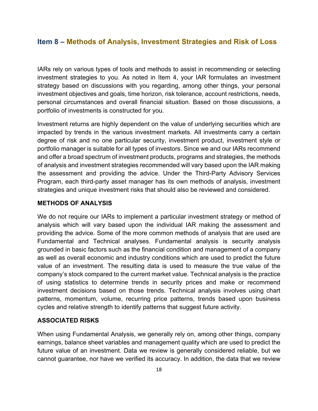## <span id="page-18-0"></span>**Item 8 – Methods of Analysis, Investment Strategies and Risk of Loss**

IARs rely on various types of tools and methods to assist in recommending or selecting investment strategies to you. As noted in Item 4, your IAR formulates an investment strategy based on discussions with you regarding, among other things, your personal investment objectives and goals, time horizon, risk tolerance, account restrictions, needs, personal circumstances and overall financial situation. Based on those discussions, a portfolio of investments is constructed for you.

Investment returns are highly dependent on the value of underlying securities which are impacted by trends in the various investment markets. All investments carry a certain degree of risk and no one particular security, investment product, investment style or portfolio manager is suitable for all types of investors. Since we and our IARs recommend and offer a broad spectrum of investment products, programs and strategies, the methods of analysis and investment strategies recommended will vary based upon the IAR making the assessment and providing the advice. Under the Third-Party Advisory Services Program, each third-party asset manager has its own methods of analysis, investment strategies and unique investment risks that should also be reviewed and considered.

#### **METHODS OF ANALYSIS**

We do not require our IARs to implement a particular investment strategy or method of analysis which will vary based upon the individual IAR making the assessment and providing the advice. Some of the more common methods of analysis that are used are Fundamental and Technical analyses. Fundamental analysis is security analysis grounded in basic factors such as the financial condition and management of a company as well as overall economic and industry conditions which are used to predict the future value of an investment. The resulting data is used to measure the true value of the company's stock compared to the current market value. Technical analysis is the practice of using statistics to determine trends in security prices and make or recommend investment decisions based on those trends. Technical analysis involves using chart patterns, momentum, volume, recurring price patterns, trends based upon business cycles and relative strength to identify patterns that suggest future activity.

#### **ASSOCIATED RISKS**

When using Fundamental Analysis, we generally rely on, among other things, company earnings, balance sheet variables and management quality which are used to predict the future value of an investment. Data we review is generally considered reliable, but we cannot guarantee, nor have we verified its accuracy. In addition, the data that we review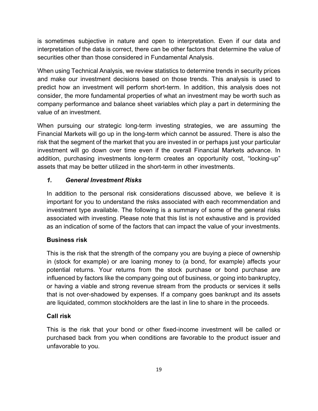is sometimes subjective in nature and open to interpretation. Even if our data and interpretation of the data is correct, there can be other factors that determine the value of securities other than those considered in Fundamental Analysis.

When using Technical Analysis, we review statistics to determine trends in security prices and make our investment decisions based on those trends. This analysis is used to predict how an investment will perform short-term. In addition, this analysis does not consider, the more fundamental properties of what an investment may be worth such as company performance and balance sheet variables which play a part in determining the value of an investment.

When pursuing our strategic long-term investing strategies, we are assuming the Financial Markets will go up in the long-term which cannot be assured. There is also the risk that the segment of the market that you are invested in or perhaps just your particular investment will go down over time even if the overall Financial Markets advance. In addition, purchasing investments long-term creates an opportunity cost, "locking-up" assets that may be better utilized in the short-term in other investments.

## *1. General Investment Risks*

In addition to the personal risk considerations discussed above, we believe it is important for you to understand the risks associated with each recommendation and investment type available. The following is a summary of some of the general risks associated with investing. Please note that this list is not exhaustive and is provided as an indication of some of the factors that can impact the value of your investments.

## **Business risk**

This is the risk that the strength of the company you are buying a piece of ownership in (stock for example) or are loaning money to (a bond, for example) affects your potential returns. Your returns from the stock purchase or bond purchase are influenced by factors like the company going out of business, or going into bankruptcy, or having a viable and strong revenue stream from the products or services it sells that is not over-shadowed by expenses. If a company goes bankrupt and its assets are liquidated, common stockholders are the last in line to share in the proceeds.

## **Call risk**

This is the risk that your bond or other fixed-income investment will be called or purchased back from you when conditions are favorable to the product issuer and unfavorable to you.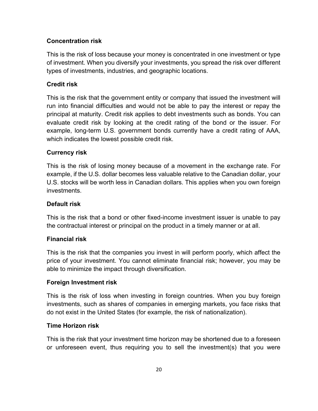#### **Concentration risk**

This is the risk of loss because your money is concentrated in one investment or type of investment. When you diversify your investments, you spread the risk over different types of investments, industries, and geographic locations.

## **Credit risk**

This is the risk that the government entity or company that issued the investment will run into financial difficulties and would not be able to pay the interest or repay the principal at maturity. Credit risk applies to debt investments such as bonds. You can evaluate credit risk by looking at the credit rating of the bond or the issuer. For example, long-term U.S. government bonds currently have a credit rating of AAA, which indicates the lowest possible credit risk.

#### **Currency risk**

This is the risk of losing money because of a movement in the exchange rate. For example, if the U.S. dollar becomes less valuable relative to the Canadian dollar, your U.S. stocks will be worth less in Canadian dollars. This applies when you own foreign investments.

#### **Default risk**

This is the risk that a bond or other fixed-income investment issuer is unable to pay the contractual interest or principal on the product in a timely manner or at all.

## **Financial risk**

This is the risk that the companies you invest in will perform poorly, which affect the price of your investment. You cannot eliminate financial risk; however, you may be able to minimize the impact through diversification.

#### **Foreign Investment risk**

This is the risk of loss when investing in foreign countries. When you buy foreign investments, such as shares of companies in emerging markets, you face risks that do not exist in the United States (for example, the risk of nationalization).

#### **Time Horizon risk**

This is the risk that your investment time horizon may be shortened due to a foreseen or unforeseen event, thus requiring you to sell the investment(s) that you were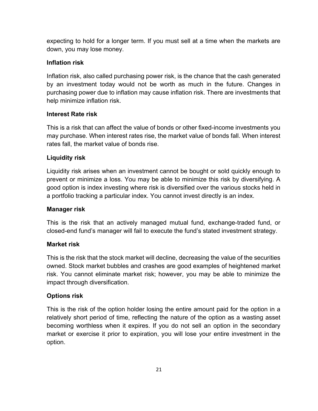expecting to hold for a longer term. If you must sell at a time when the markets are down, you may lose money.

## **Inflation risk**

Inflation risk, also called purchasing power risk, is the chance that the cash generated by an investment today would not be worth as much in the future. Changes in purchasing power due to inflation may cause inflation risk. There are investments that help minimize inflation risk.

## **Interest Rate risk**

This is a risk that can affect the value of bonds or other fixed-income investments you may purchase. When interest rates rise, the market value of bonds fall. When interest rates fall, the market value of bonds rise.

## **Liquidity risk**

Liquidity risk arises when an investment cannot be bought or sold quickly enough to prevent or minimize a loss. You may be able to minimize this risk by diversifying. A good option is index investing where risk is diversified over the various stocks held in a portfolio tracking a particular index. You cannot invest directly is an index.

## **Manager risk**

This is the risk that an actively managed mutual fund, exchange-traded fund, or closed-end fund's manager will fail to execute the fund's stated investment strategy.

## **Market risk**

This is the risk that the stock market will decline, decreasing the value of the securities owned. Stock market bubbles and crashes are good examples of heightened market risk. You cannot eliminate market risk; however, you may be able to minimize the impact through diversification.

## **Options risk**

This is the risk of the option holder losing the entire amount paid for the option in a relatively short period of time, reflecting the nature of the option as a wasting asset becoming worthless when it expires. If you do not sell an option in the secondary market or exercise it prior to expiration, you will lose your entire investment in the option.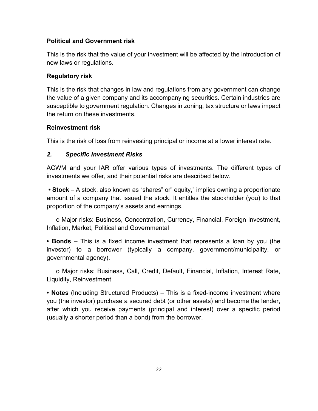#### **Political and Government risk**

This is the risk that the value of your investment will be affected by the introduction of new laws or regulations.

## **Regulatory risk**

This is the risk that changes in law and regulations from any government can change the value of a given company and its accompanying securities. Certain industries are susceptible to government regulation. Changes in zoning, tax structure or laws impact the return on these investments.

#### **Reinvestment risk**

This is the risk of loss from reinvesting principal or income at a lower interest rate.

#### *2. Specific Investment Risks*

ACWM and your IAR offer various types of investments. The different types of investments we offer, and their potential risks are described below.

**• Stock** – A stock, also known as "shares" or" equity," implies owning a proportionate amount of a company that issued the stock. It entitles the stockholder (you) to that proportion of the company's assets and earnings.

o Major risks: Business, Concentration, Currency, Financial, Foreign Investment, Inflation, Market, Political and Governmental

**• Bonds** – This is a fixed income investment that represents a loan by you (the investor) to a borrower (typically a company, government/municipality, or governmental agency).

o Major risks: Business, Call, Credit, Default, Financial, Inflation, Interest Rate, Liquidity, Reinvestment

**• Notes** (Including Structured Products) – This is a fixed-income investment where you (the investor) purchase a secured debt (or other assets) and become the lender, after which you receive payments (principal and interest) over a specific period (usually a shorter period than a bond) from the borrower.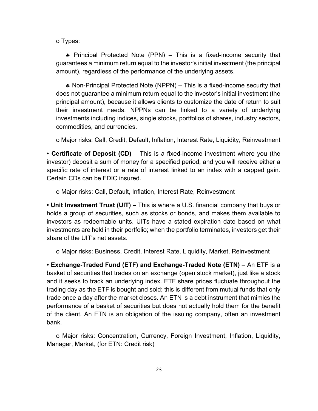o Types:

♣ Principal Protected Note (PPN) – This is a fixed-income security that guarantees a minimum return equal to the investor's initial investment (the principal amount), regardless of the performance of the underlying assets.

♣ Non-Principal Protected Note (NPPN) – This is a fixed-income security that does not guarantee a minimum return equal to the investor's initial investment (the principal amount), because it allows clients to customize the date of return to suit their investment needs. NPPNs can be linked to a variety of underlying investments including indices, single stocks, portfolios of shares, industry sectors, commodities, and currencies.

o Major risks: Call, Credit, Default, Inflation, Interest Rate, Liquidity, Reinvestment

**• Certificate of Deposit (CD)** – This is a fixed-income investment where you (the investor) deposit a sum of money for a specified period, and you will receive either a specific rate of interest or a rate of interest linked to an index with a capped gain. Certain CDs can be FDIC insured.

o Major risks: Call, Default, Inflation, Interest Rate, Reinvestment

**• Unit Investment Trust (UIT) –** This is where a U.S. financial company that buys or holds a group of securities, such as stocks or bonds, and makes them available to investors as redeemable units. UITs have a stated expiration date based on what investments are held in their portfolio; when the portfolio terminates, investors get their share of the UIT's net assets.

o Major risks: Business, Credit, Interest Rate, Liquidity, Market, Reinvestment

**• Exchange-Traded Fund (ETF) and Exchange-Traded Note (ETN)** – An ETF is a basket of securities that trades on an exchange (open stock market), just like a stock and it seeks to track an underlying index. ETF share prices fluctuate throughout the trading day as the ETF is bought and sold; this is different from mutual funds that only trade once a day after the market closes. An ETN is a debt instrument that mimics the performance of a basket of securities but does not actually hold them for the benefit of the client. An ETN is an obligation of the issuing company, often an investment bank.

o Major risks: Concentration, Currency, Foreign Investment, Inflation, Liquidity, Manager, Market, (for ETN: Credit risk)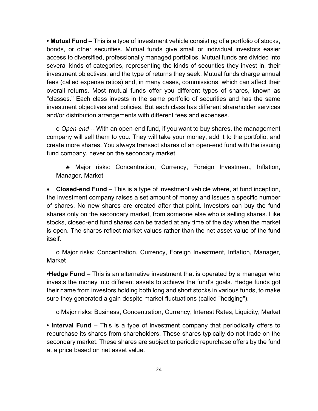**• Mutual Fund** – This is a type of investment vehicle consisting of a portfolio of stocks, bonds, or other securities. Mutual funds give small or individual investors easier access to diversified, professionally managed portfolios. Mutual funds are divided into several kinds of categories, representing the kinds of securities they invest in, their investment objectives, and the type of returns they seek. Mutual funds charge annual fees (called expense ratios) and, in many cases, commissions, which can affect their overall returns. Most mutual funds offer you different types of shares, known as "classes." Each class invests in the same portfolio of securities and has the same investment objectives and policies. But each class has different shareholder services and/or distribution arrangements with different fees and expenses.

o *Open-end* -- With an open-end fund, if you want to buy shares, the management company will sell them to you. They will take your money, add it to the portfolio, and create more shares. You always transact shares of an open-end fund with the issuing fund company, never on the secondary market.

♣ Major risks: Concentration, Currency, Foreign Investment, Inflation, Manager, Market

• **Closed-end Fund** – This is a type of investment vehicle where, at fund inception, the investment company raises a set amount of money and issues a specific number of shares. No new shares are created after that point. Investors can buy the fund shares only on the secondary market, from someone else who is selling shares. Like stocks, closed-end fund shares can be traded at any time of the day when the market is open. The shares reflect market values rather than the net asset value of the fund itself.

o Major risks: Concentration, Currency, Foreign Investment, Inflation, Manager, Market

**•Hedge Fund** – This is an alternative investment that is operated by a manager who invests the money into different assets to achieve the fund's goals. Hedge funds got their name from investors holding both long and short stocks in various funds, to make sure they generated a gain despite market fluctuations (called "hedging").

o Major risks: Business, Concentration, Currency, Interest Rates, Liquidity, Market

**• Interval Fund** – This is a type of investment company that periodically offers to repurchase its shares from shareholders. These shares typically do not trade on the secondary market. These shares are subject to periodic repurchase offers by the fund at a price based on net asset value.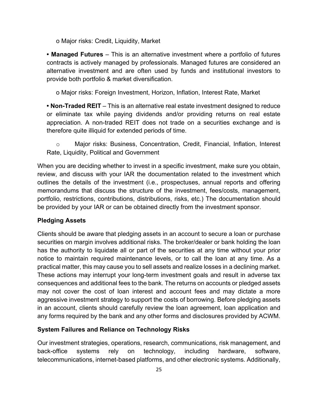o Major risks: Credit, Liquidity, Market

**• Managed Futures** – This is an alternative investment where a portfolio of futures contracts is actively managed by professionals. Managed futures are considered an alternative investment and are often used by funds and institutional investors to provide both portfolio & market diversification.

o Major risks: Foreign Investment, Horizon, Inflation, Interest Rate, Market

**• Non-Traded REIT** – This is an alternative real estate investment designed to reduce or eliminate tax while paying dividends and/or providing returns on real estate appreciation. A non-traded REIT does not trade on a securities exchange and is therefore quite illiquid for extended periods of time.

o Major risks: Business, Concentration, Credit, Financial, Inflation, Interest Rate, Liquidity, Political and Government

When you are deciding whether to invest in a specific investment, make sure you obtain, review, and discuss with your IAR the documentation related to the investment which outlines the details of the investment (i.e., prospectuses, annual reports and offering memorandums that discuss the structure of the investment, fees/costs, management, portfolio, restrictions, contributions, distributions, risks, etc.) The documentation should be provided by your IAR or can be obtained directly from the investment sponsor.

## **Pledging Assets**

Clients should be aware that pledging assets in an account to secure a loan or purchase securities on margin involves additional risks. The broker/dealer or bank holding the loan has the authority to liquidate all or part of the securities at any time without your prior notice to maintain required maintenance levels, or to call the loan at any time. As a practical matter, this may cause you to sell assets and realize losses in a declining market. These actions may interrupt your long-term investment goals and result in adverse tax consequences and additional fees to the bank. The returns on accounts or pledged assets may not cover the cost of loan interest and account fees and may dictate a more aggressive investment strategy to support the costs of borrowing. Before pledging assets in an account, clients should carefully review the loan agreement, loan application and any forms required by the bank and any other forms and disclosures provided by ACWM.

#### **System Failures and Reliance on Technology Risks**

Our investment strategies, operations, research, communications, risk management, and back-office systems rely on technology, including hardware, software, telecommunications, internet-based platforms, and other electronic systems. Additionally,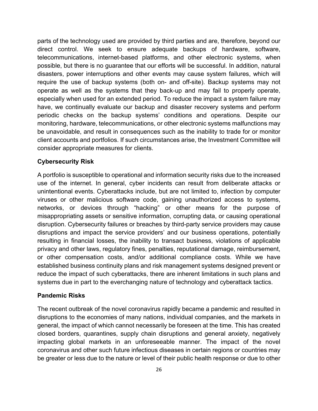parts of the technology used are provided by third parties and are, therefore, beyond our direct control. We seek to ensure adequate backups of hardware, software, telecommunications, internet-based platforms, and other electronic systems, when possible, but there is no guarantee that our efforts will be successful. In addition, natural disasters, power interruptions and other events may cause system failures, which will require the use of backup systems (both on- and off-site). Backup systems may not operate as well as the systems that they back-up and may fail to properly operate, especially when used for an extended period. To reduce the impact a system failure may have, we continually evaluate our backup and disaster recovery systems and perform periodic checks on the backup systems' conditions and operations. Despite our monitoring, hardware, telecommunications, or other electronic systems malfunctions may be unavoidable, and result in consequences such as the inability to trade for or monitor client accounts and portfolios. If such circumstances arise, the Investment Committee will consider appropriate measures for clients.

#### **Cybersecurity Risk**

A portfolio is susceptible to operational and information security risks due to the increased use of the internet. In general, cyber incidents can result from deliberate attacks or unintentional events. Cyberattacks include, but are not limited to, infection by computer viruses or other malicious software code, gaining unauthorized access to systems, networks, or devices through "hacking" or other means for the purpose of misappropriating assets or sensitive information, corrupting data, or causing operational disruption. Cybersecurity failures or breaches by third-party service providers may cause disruptions and impact the service providers' and our business operations, potentially resulting in financial losses, the inability to transact business, violations of applicable privacy and other laws, regulatory fines, penalties, reputational damage, reimbursement, or other compensation costs, and/or additional compliance costs. While we have established business continuity plans and risk management systems designed prevent or reduce the impact of such cyberattacks, there are inherent limitations in such plans and systems due in part to the everchanging nature of technology and cyberattack tactics.

#### **Pandemic Risks**

The recent outbreak of the novel coronavirus rapidly became a pandemic and resulted in disruptions to the economies of many nations, individual companies, and the markets in general, the impact of which cannot necessarily be foreseen at the time. This has created closed borders, quarantines, supply chain disruptions and general anxiety, negatively impacting global markets in an unforeseeable manner. The impact of the novel coronavirus and other such future infectious diseases in certain regions or countries may be greater or less due to the nature or level of their public health response or due to other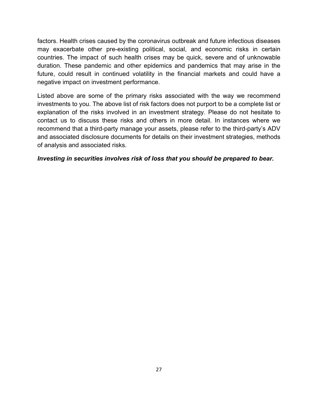factors. Health crises caused by the coronavirus outbreak and future infectious diseases may exacerbate other pre-existing political, social, and economic risks in certain countries. The impact of such health crises may be quick, severe and of unknowable duration. These pandemic and other epidemics and pandemics that may arise in the future, could result in continued volatility in the financial markets and could have a negative impact on investment performance.

Listed above are some of the primary risks associated with the way we recommend investments to you. The above list of risk factors does not purport to be a complete list or explanation of the risks involved in an investment strategy. Please do not hesitate to contact us to discuss these risks and others in more detail. In instances where we recommend that a third-party manage your assets, please refer to the third-party's ADV and associated disclosure documents for details on their investment strategies, methods of analysis and associated risks.

#### *Investing in securities involves risk of loss that you should be prepared to bear.*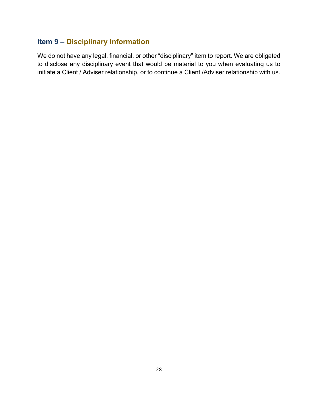# <span id="page-28-0"></span>**Item 9 – Disciplinary Information**

We do not have any legal, financial, or other "disciplinary" item to report. We are obligated to disclose any disciplinary event that would be material to you when evaluating us to initiate a Client / Adviser relationship, or to continue a Client /Adviser relationship with us.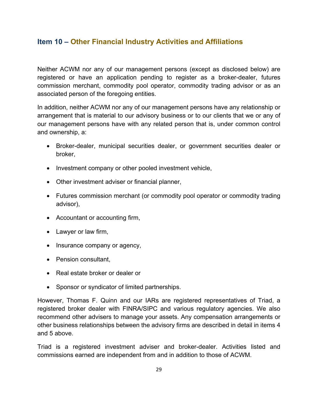## <span id="page-29-0"></span>**Item 10 – Other Financial Industry Activities and Affiliations**

Neither ACWM nor any of our management persons (except as disclosed below) are registered or have an application pending to register as a broker-dealer, futures commission merchant, commodity pool operator, commodity trading advisor or as an associated person of the foregoing entities.

In addition, neither ACWM nor any of our management persons have any relationship or arrangement that is material to our advisory business or to our clients that we or any of our management persons have with any related person that is, under common control and ownership, a:

- Broker-dealer, municipal securities dealer, or government securities dealer or broker,
- Investment company or other pooled investment vehicle,
- Other investment adviser or financial planner,
- Futures commission merchant (or commodity pool operator or commodity trading advisor),
- Accountant or accounting firm,
- Lawyer or law firm,
- Insurance company or agency,
- Pension consultant,
- Real estate broker or dealer or
- Sponsor or syndicator of limited partnerships.

However, Thomas F. Quinn and our IARs are registered representatives of Triad, a registered broker dealer with FINRA/SIPC and various regulatory agencies. We also recommend other advisers to manage your assets. Any compensation arrangements or other business relationships between the advisory firms are described in detail in items 4 and 5 above.

Triad is a registered investment adviser and broker-dealer. Activities listed and commissions earned are independent from and in addition to those of ACWM.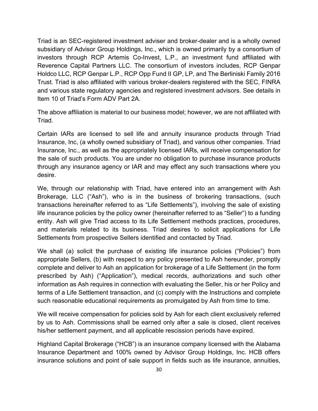Triad is an SEC-registered investment adviser and broker-dealer and is a wholly owned subsidiary of Advisor Group Holdings, Inc., which is owned primarily by a consortium of investors through RCP Artemis Co-Invest, L.P., an investment fund affiliated with Reverence Capital Partners LLC. The consortium of investors includes, RCP Genpar Holdco LLC, RCP Genpar L.P., RCP Opp Fund II GP, LP, and The Berliniski Family 2016 Trust. Triad is also affiliated with various broker-dealers registered with the SEC, FINRA and various state regulatory agencies and registered investment advisors. See details in Item 10 of Triad's Form ADV Part 2A.

The above affiliation is material to our business model; however, we are not affiliated with Triad.

Certain IARs are licensed to sell life and annuity insurance products through Triad Insurance, Inc, (a wholly owned subsidiary of Triad), and various other companies. Triad Insurance, Inc., as well as the appropriately licensed IARs, will receive compensation for the sale of such products. You are under no obligation to purchase insurance products through any insurance agency or IAR and may effect any such transactions where you desire.

We, through our relationship with Triad, have entered into an arrangement with Ash Brokerage, LLC ("Ash"), who is in the business of brokering transactions, (such transactions hereinafter referred to as "Life Settlements"), involving the sale of existing life insurance policies by the policy owner (hereinafter referred to as "Seller") to a funding entity. Ash will give Triad access to its Life Settlement methods practices, procedures, and materials related to its business. Triad desires to solicit applications for Life Settlements from prospective Sellers identified and contacted by Triad.

We shall (a) solicit the purchase of existing life insurance policies ("Policies") from appropriate Sellers, (b) with respect to any policy presented to Ash hereunder, promptly complete and deliver to Ash an application for brokerage of a Life Settlement (in the form prescribed by Ash) ("Application"), medical records, authorizations and such other information as Ash requires in connection with evaluating the Seller, his or her Policy and terms of a Life Settlement transaction, and (c) comply with the Instructions and complete such reasonable educational requirements as promulgated by Ash from time to time.

We will receive compensation for policies sold by Ash for each client exclusively referred by us to Ash. Commissions shall be earned only after a sale is closed, client receives his/her settlement payment, and all applicable rescission periods have expired.

Highland Capital Brokerage ("HCB") is an insurance company licensed with the Alabama Insurance Department and 100% owned by Advisor Group Holdings, Inc. HCB offers insurance solutions and point of sale support in fields such as life insurance, annuities,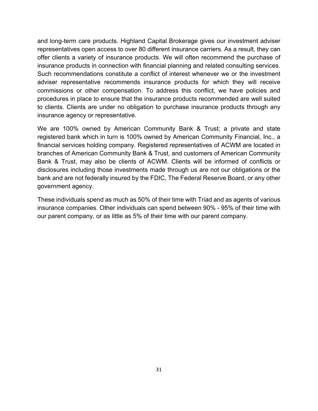and long-term care products. Highland Capital Brokerage gives our investment adviser representatives open access to over 80 different insurance carriers. As a result, they can offer clients a variety of insurance products. We will often recommend the purchase of insurance products in connection with financial planning and related consulting services. Such recommendations constitute a conflict of interest whenever we or the investment adviser representative recommends insurance products for which they will receive commissions or other compensation. To address this conflict, we have policies and procedures in place to ensure that the insurance products recommended are well suited to clients. Clients are under no obligation to purchase insurance products through any insurance agency or representative.

We are 100% owned by American Community Bank & Trust; a private and state registered bank which in turn is 100% owned by American Community Financial, Inc., a financial services holding company. Registered representatives of ACWM are located in branches of American Community Bank & Trust, and customers of American Community Bank & Trust, may also be clients of ACWM. Clients will be informed of conflicts or disclosures including those investments made through us are not our obligations or the bank and are not federally insured by the FDIC, The Federal Reserve Board, or any other government agency.

These individuals spend as much as 50% of their time with Triad and as agents of various insurance companies. Other individuals can spend between 90% - 95% of their time with our parent company, or as little as 5% of their time with our parent company.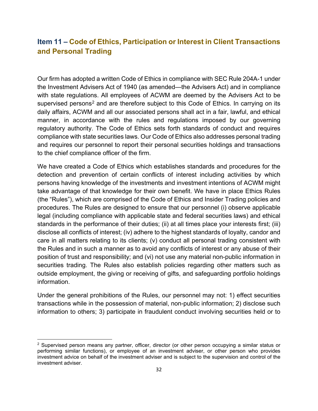# <span id="page-32-0"></span>**Item 11 – Code of Ethics, Participation or Interest in Client Transactions and Personal Trading**

Our firm has adopted a written Code of Ethics in compliance with SEC Rule 204A-1 under the Investment Advisers Act of 1940 (as amended—the Advisers Act) and in compliance with state regulations. All employees of ACWM are deemed by the Advisers Act to be supervised persons<sup>[2](#page-32-1)</sup> and are therefore subject to this Code of Ethics. In carrying on its daily affairs, ACWM and all our associated persons shall act in a fair, lawful, and ethical manner, in accordance with the rules and regulations imposed by our governing regulatory authority. The Code of Ethics sets forth standards of conduct and requires compliance with state securities laws. Our Code of Ethics also addresses personal trading and requires our personnel to report their personal securities holdings and transactions to the chief compliance officer of the firm.

We have created a Code of Ethics which establishes standards and procedures for the detection and prevention of certain conflicts of interest including activities by which persons having knowledge of the investments and investment intentions of ACWM might take advantage of that knowledge for their own benefit. We have in place Ethics Rules (the "Rules"), which are comprised of the Code of Ethics and Insider Trading policies and procedures. The Rules are designed to ensure that our personnel (i) observe applicable legal (including compliance with applicable state and federal securities laws) and ethical standards in the performance of their duties; (ii) at all times place your interests first; (iii) disclose all conflicts of interest; (iv) adhere to the highest standards of loyalty, candor and care in all matters relating to its clients; (v) conduct all personal trading consistent with the Rules and in such a manner as to avoid any conflicts of interest or any abuse of their position of trust and responsibility; and (vi) not use any material non-public information in securities trading. The Rules also establish policies regarding other matters such as outside employment, the giving or receiving of gifts, and safeguarding portfolio holdings information.

Under the general prohibitions of the Rules, our personnel may not: 1) effect securities transactions while in the possession of material, non-public information; 2) disclose such information to others; 3) participate in fraudulent conduct involving securities held or to

<span id="page-32-1"></span> $2$  Supervised person means any partner, officer, director (or other person occupying a similar status or performing similar functions), or employee of an investment adviser, or other person who provides investment advice on behalf of the investment adviser and is subject to the supervision and control of the investment adviser.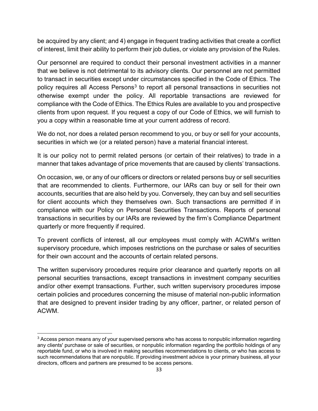be acquired by any client; and 4) engage in frequent trading activities that create a conflict of interest, limit their ability to perform their job duties, or violate any provision of the Rules.

Our personnel are required to conduct their personal investment activities in a manner that we believe is not detrimental to its advisory clients. Our personnel are not permitted to transact in securities except under circumstances specified in the Code of Ethics. The policy requires all Access Persons<sup>[3](#page-33-0)</sup> to report all personal transactions in securities not otherwise exempt under the policy. All reportable transactions are reviewed for compliance with the Code of Ethics. The Ethics Rules are available to you and prospective clients from upon request. If you request a copy of our Code of Ethics, we will furnish to you a copy within a reasonable time at your current address of record.

We do not, nor does a related person recommend to you, or buy or sell for your accounts, securities in which we (or a related person) have a material financial interest.

It is our policy not to permit related persons (or certain of their relatives) to trade in a manner that takes advantage of price movements that are caused by clients' transactions.

On occasion, we, or any of our officers or directors or related persons buy or sell securities that are recommended to clients. Furthermore, our IARs can buy or sell for their own accounts, securities that are also held by you. Conversely, they can buy and sell securities for client accounts which they themselves own. Such transactions are permitted if in compliance with our Policy on Personal Securities Transactions. Reports of personal transactions in securities by our IARs are reviewed by the firm's Compliance Department quarterly or more frequently if required.

To prevent conflicts of interest, all our employees must comply with ACWM's written supervisory procedure, which imposes restrictions on the purchase or sales of securities for their own account and the accounts of certain related persons.

The written supervisory procedures require prior clearance and quarterly reports on all personal securities transactions, except transactions in investment company securities and/or other exempt transactions. Further, such written supervisory procedures impose certain policies and procedures concerning the misuse of material non-public information that are designed to prevent insider trading by any officer, partner, or related person of ACWM.

<span id="page-33-0"></span><sup>&</sup>lt;sup>3</sup> Access person means any of your supervised persons who has access to nonpublic information regarding any clients' purchase or sale of securities, or nonpublic information regarding the portfolio holdings of any reportable fund, or who is involved in making securities recommendations to clients, or who has access to such recommendations that are nonpublic. If providing investment advice is your primary business, all your directors, officers and partners are presumed to be access persons.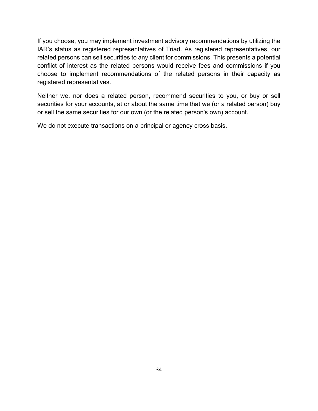If you choose, you may implement investment advisory recommendations by utilizing the IAR's status as registered representatives of Triad. As registered representatives, our related persons can sell securities to any client for commissions. This presents a potential conflict of interest as the related persons would receive fees and commissions if you choose to implement recommendations of the related persons in their capacity as registered representatives.

Neither we, nor does a related person, recommend securities to you, or buy or sell securities for your accounts, at or about the same time that we (or a related person) buy or sell the same securities for our own (or the related person's own) account.

We do not execute transactions on a principal or agency cross basis.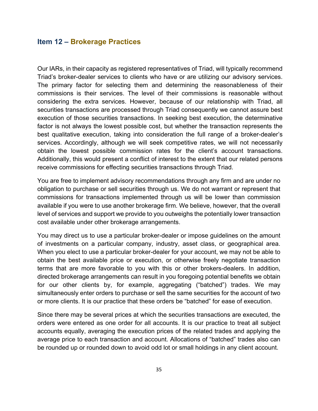#### <span id="page-35-0"></span>**Item 12 – Brokerage Practices**

Our IARs, in their capacity as registered representatives of Triad, will typically recommend Triad's broker-dealer services to clients who have or are utilizing our advisory services. The primary factor for selecting them and determining the reasonableness of their commissions is their services. The level of their commissions is reasonable without considering the extra services. However, because of our relationship with Triad, all securities transactions are processed through Triad consequently we cannot assure best execution of those securities transactions. In seeking best execution, the determinative factor is not always the lowest possible cost, but whether the transaction represents the best qualitative execution, taking into consideration the full range of a broker-dealer's services. Accordingly, although we will seek competitive rates, we will not necessarily obtain the lowest possible commission rates for the client's account transactions. Additionally, this would present a conflict of interest to the extent that our related persons receive commissions for effecting securities transactions through Triad.

You are free to implement advisory recommendations through any firm and are under no obligation to purchase or sell securities through us. We do not warrant or represent that commissions for transactions implemented through us will be lower than commission available if you were to use another brokerage firm. We believe, however, that the overall level of services and support we provide to you outweighs the potentially lower transaction cost available under other brokerage arrangements.

You may direct us to use a particular broker-dealer or impose guidelines on the amount of investments on a particular company, industry, asset class, or geographical area. When you elect to use a particular broker-dealer for your account, we may not be able to obtain the best available price or execution, or otherwise freely negotiate transaction terms that are more favorable to you with this or other brokers-dealers. In addition, directed brokerage arrangements can result in you foregoing potential benefits we obtain for our other clients by, for example, aggregating ("batched") trades. We may simultaneously enter orders to purchase or sell the same securities for the account of two or more clients. It is our practice that these orders be "batched" for ease of execution.

Since there may be several prices at which the securities transactions are executed, the orders were entered as one order for all accounts. It is our practice to treat all subject accounts equally, averaging the execution prices of the related trades and applying the average price to each transaction and account. Allocations of "batched" trades also can be rounded up or rounded down to avoid odd lot or small holdings in any client account.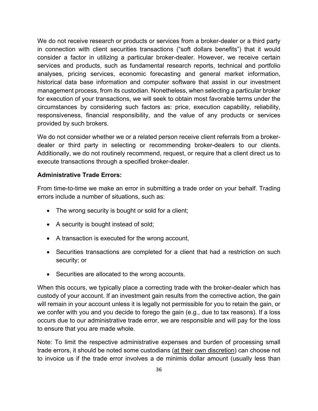We do not receive research or products or services from a broker-dealer or a third party in connection with client securities transactions ("soft dollars benefits") that it would consider a factor in utilizing a particular broker-dealer. However, we receive certain services and products, such as fundamental research reports, technical and portfolio analyses, pricing services, economic forecasting and general market information, historical data base information and computer software that assist in our investment management process, from its custodian. Nonetheless, when selecting a particular broker for execution of your transactions, we will seek to obtain most favorable terms under the circumstances by considering such factors as: price, execution capability, reliability, responsiveness, financial responsibility, and the value of any products or services provided by such brokers.

We do not consider whether we or a related person receive client referrals from a brokerdealer or third party in selecting or recommending broker-dealers to our clients. Additionally, we do not routinely recommend, request, or require that a client direct us to execute transactions through a specified broker-dealer.

#### **Administrative Trade Errors:**

From time-to-time we make an error in submitting a trade order on your behalf. Trading errors include a number of situations, such as:

- The wrong security is bought or sold for a client;
- A security is bought instead of sold;
- A transaction is executed for the wrong account,
- Securities transactions are completed for a client that had a restriction on such security; or
- Securities are allocated to the wrong accounts.

When this occurs, we typically place a correcting trade with the broker-dealer which has custody of your account. If an investment gain results from the corrective action, the gain will remain in your account unless it is legally not permissible for you to retain the gain, or we confer with you and you decide to forego the gain (e.g., due to tax reasons). If a loss occurs due to our administrative trade error, we are responsible and will pay for the loss to ensure that you are made whole.

Note: To limit the respective administrative expenses and burden of processing small trade errors, it should be noted some custodians (at their own discretion) can choose not to invoice us if the trade error involves a de minimis dollar amount (usually less than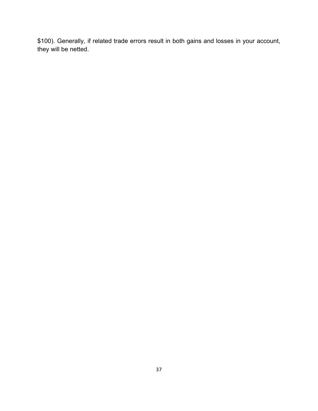\$100). Generally, if related trade errors result in both gains and losses in your account, they will be netted.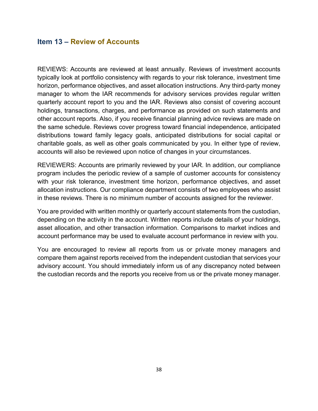## <span id="page-38-0"></span>**Item 13 – Review of Accounts**

REVIEWS: Accounts are reviewed at least annually. Reviews of investment accounts typically look at portfolio consistency with regards to your risk tolerance, investment time horizon, performance objectives, and asset allocation instructions. Any third-party money manager to whom the IAR recommends for advisory services provides regular written quarterly account report to you and the IAR. Reviews also consist of covering account holdings, transactions, charges, and performance as provided on such statements and other account reports. Also, if you receive financial planning advice reviews are made on the same schedule. Reviews cover progress toward financial independence, anticipated distributions toward family legacy goals, anticipated distributions for social capital or charitable goals, as well as other goals communicated by you. In either type of review, accounts will also be reviewed upon notice of changes in your circumstances.

REVIEWERS: Accounts are primarily reviewed by your IAR. In addition, our compliance program includes the periodic review of a sample of customer accounts for consistency with your risk tolerance, investment time horizon, performance objectives, and asset allocation instructions. Our compliance department consists of two employees who assist in these reviews. There is no minimum number of accounts assigned for the reviewer.

You are provided with written monthly or quarterly account statements from the custodian, depending on the activity in the account. Written reports include details of your holdings, asset allocation, and other transaction information. Comparisons to market indices and account performance may be used to evaluate account performance in review with you.

You are encouraged to review all reports from us or private money managers and compare them against reports received from the independent custodian that services your advisory account. You should immediately inform us of any discrepancy noted between the custodian records and the reports you receive from us or the private money manager.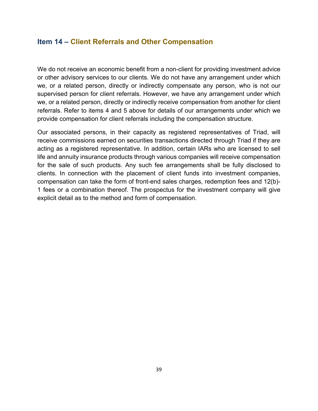## <span id="page-39-0"></span>**Item 14 – Client Referrals and Other Compensation**

We do not receive an economic benefit from a non-client for providing investment advice or other advisory services to our clients. We do not have any arrangement under which we, or a related person, directly or indirectly compensate any person, who is not our supervised person for client referrals. However, we have any arrangement under which we, or a related person, directly or indirectly receive compensation from another for client referrals. Refer to items 4 and 5 above for details of our arrangements under which we provide compensation for client referrals including the compensation structure.

Our associated persons, in their capacity as registered representatives of Triad, will receive commissions earned on securities transactions directed through Triad if they are acting as a registered representative. In addition, certain IARs who are licensed to sell life and annuity insurance products through various companies will receive compensation for the sale of such products. Any such fee arrangements shall be fully disclosed to clients. In connection with the placement of client funds into investment companies, compensation can take the form of front-end sales charges, redemption fees and 12(b)- 1 fees or a combination thereof. The prospectus for the investment company will give explicit detail as to the method and form of compensation.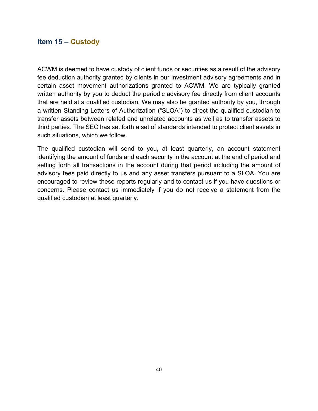## <span id="page-40-0"></span>**Item 15 – Custody**

ACWM is deemed to have custody of client funds or securities as a result of the advisory fee deduction authority granted by clients in our investment advisory agreements and in certain asset movement authorizations granted to ACWM. We are typically granted written authority by you to deduct the periodic advisory fee directly from client accounts that are held at a qualified custodian. We may also be granted authority by you, through a written Standing Letters of Authorization ("SLOA") to direct the qualified custodian to transfer assets between related and unrelated accounts as well as to transfer assets to third parties. The SEC has set forth a set of standards intended to protect client assets in such situations, which we follow.

The qualified custodian will send to you, at least quarterly, an account statement identifying the amount of funds and each security in the account at the end of period and setting forth all transactions in the account during that period including the amount of advisory fees paid directly to us and any asset transfers pursuant to a SLOA. You are encouraged to review these reports regularly and to contact us if you have questions or concerns. Please contact us immediately if you do not receive a statement from the qualified custodian at least quarterly.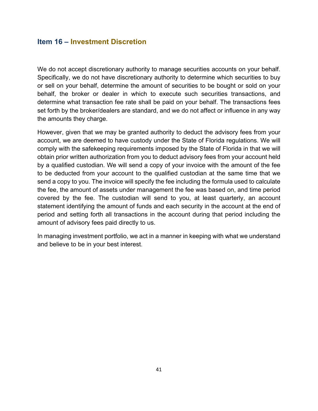## <span id="page-41-0"></span>**Item 16 – Investment Discretion**

We do not accept discretionary authority to manage securities accounts on your behalf. Specifically, we do not have discretionary authority to determine which securities to buy or sell on your behalf, determine the amount of securities to be bought or sold on your behalf, the broker or dealer in which to execute such securities transactions, and determine what transaction fee rate shall be paid on your behalf. The transactions fees set forth by the broker/dealers are standard, and we do not affect or influence in any way the amounts they charge.

However, given that we may be granted authority to deduct the advisory fees from your account, we are deemed to have custody under the State of Florida regulations. We will comply with the safekeeping requirements imposed by the State of Florida in that we will obtain prior written authorization from you to deduct advisory fees from your account held by a qualified custodian. We will send a copy of your invoice with the amount of the fee to be deducted from your account to the qualified custodian at the same time that we send a copy to you. The invoice will specify the fee including the formula used to calculate the fee, the amount of assets under management the fee was based on, and time period covered by the fee. The custodian will send to you, at least quarterly, an account statement identifying the amount of funds and each security in the account at the end of period and setting forth all transactions in the account during that period including the amount of advisory fees paid directly to us.

In managing investment portfolio, we act in a manner in keeping with what we understand and believe to be in your best interest.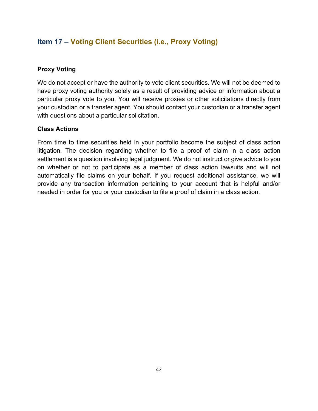# <span id="page-42-0"></span>**Item 17 – Voting Client Securities (i.e., Proxy Voting)**

#### **Proxy Voting**

We do not accept or have the authority to vote client securities. We will not be deemed to have proxy voting authority solely as a result of providing advice or information about a particular proxy vote to you. You will receive proxies or other solicitations directly from your custodian or a transfer agent. You should contact your custodian or a transfer agent with questions about a particular solicitation.

#### **Class Actions**

From time to time securities held in your portfolio become the subject of class action litigation. The decision regarding whether to file a proof of claim in a class action settlement is a question involving legal judgment. We do not instruct or give advice to you on whether or not to participate as a member of class action lawsuits and will not automatically file claims on your behalf. If you request additional assistance, we will provide any transaction information pertaining to your account that is helpful and/or needed in order for you or your custodian to file a proof of claim in a class action.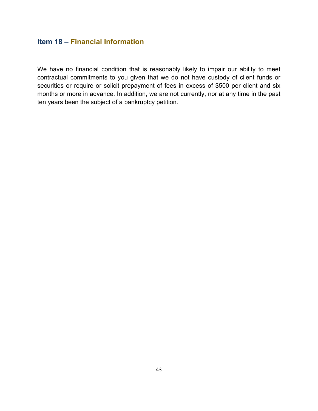# <span id="page-43-0"></span>**Item 18 – Financial Information**

We have no financial condition that is reasonably likely to impair our ability to meet contractual commitments to you given that we do not have custody of client funds or securities or require or solicit prepayment of fees in excess of \$500 per client and six months or more in advance. In addition, we are not currently, nor at any time in the past ten years been the subject of a bankruptcy petition.